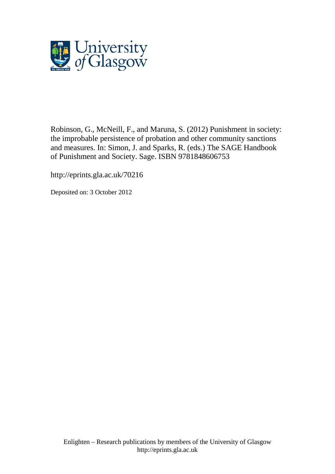

Robinson, G., McNeill, F., and Maruna, S. (2012) Punishment in society: the improbable persistence of probation and other community sanctions and measures. In: Simon, J. and Sparks, R. (eds.) The SAGE Handbook of Punishment and Society. Sage. ISBN 9781848606753

http://eprints.gla.ac.uk/70216

Deposited on: 3 October 2012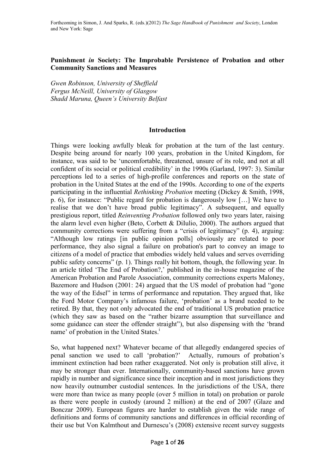## **Punishment** *in* **Society: The Improbable Persistence of Probation and other Community Sanctions and Measures**

*Gwen Robinson, University of Sheffield Fergus McNeill, University of Glasgow Shadd Maruna, Queen's University Belfast* 

#### **Introduction**

Things were looking awfully bleak for probation at the turn of the last century. Despite being around for nearly 100 years, probation in the United Kingdom, for instance, was said to be 'uncomfortable, threatened, unsure of its role, and not at all confident of its social or political credibility' in the 1990s (Garland, 1997: 3). Similar perceptions led to a series of high-profile conferences and reports on the state of probation in the United States at the end of the 1990s. According to one of the experts participating in the influential *Rethinking Probation* meeting (Dickey & Smith, 1998, p. 6), for instance: "Public regard for probation is dangerously low […] We have to realise that we don't have broad public legitimacy". A subsequent, and equally prestigious report, titled *Reinventing Probation* followed only two years later, raising the alarm level even higher (Beto, Corbett & DiIulio, 2000). The authors argued that community corrections were suffering from a "crisis of legitimacy" (p. 4), arguing: "Although low ratings [in public opinion polls] obviously are related to poor performance, they also signal a failure on probation's part to convey an image to citizens of a model of practice that embodies widely held values and serves overriding public safety concerns" (p. 1). Things really hit bottom, though, the following year. In an article titled 'The End of Probation?,' published in the in-house magazine of the American Probation and Parole Association, community corrections experts Maloney, Bazemore and Hudson (2001: 24) argued that the US model of probation had "gone the way of the Edsel" in terms of performance and reputation. They argued that, like the Ford Motor Company's infamous failure, 'probation' as a brand needed to be retired. By that, they not only advocated the end of traditional US probation practice (which they saw as based on the "rather bizarre assumption that surveillance and some guidance can steer the offender straight"), but also dispensing with the 'brand name' of probation in the United States.<sup>i</sup>

So, what happened next? Whatever became of that allegedly endangered species of penal sanction we used to call 'probation?' Actually, rumours of probation's imminent extinction had been rather exaggerated. Not only is probation still alive, it may be stronger than ever. Internationally, community-based sanctions have grown rapidly in number and significance since their inception and in most jurisdictions they now heavily outnumber custodial sentences. In the jurisdictions of the USA, there were more than twice as many people (over 5 million in total) on probation or parole as there were people in custody (around 2 million) at the end of 2007 (Glaze and Bonczar 2009). European figures are harder to establish given the wide range of definitions and forms of community sanctions and differences in official recording of their use but Von Kalmthout and Durnescu's (2008) extensive recent survey suggests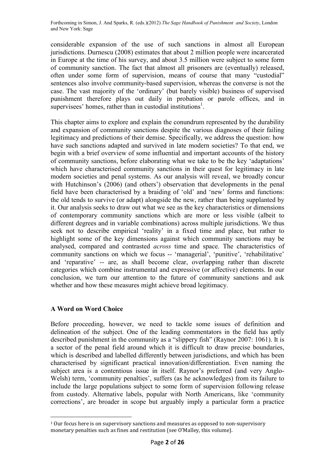considerable expansion of the use of such sanctions in almost all European jurisdictions. Durnescu (2008) estimates that about 2 million people were incarcerated in Europe at the time of his survey, and about 3.5 million were subject to some form of community sanction. The fact that almost all prisoners are (eventually) released, often under some form of supervision, means of course that many "custodial" sentences also involve community-based supervision, whereas the converse is not the case. The vast majority of the 'ordinary' (but barely visible) business of supervised punishment therefore plays out daily in probation or parole offices, and in supervisees' homes, rather than in custodial institutions<sup>1</sup>.

This chapter aims to explore and explain the conundrum represented by the durability and expansion of community sanctions despite the various diagnoses of their failing legitimacy and predictions of their demise. Specifically, we address the question: how have such sanctions adapted and survived in late modern societies? To that end, we begin with a brief overview of some influential and important accounts of the history of community sanctions, before elaborating what we take to be the key 'adaptations' which have characterised community sanctions in their quest for legitimacy in late modern societies and penal systems. As our analysis will reveal, we broadly concur with Hutchinson's (2006) (and others') observation that developments in the penal field have been characterised by a braiding of 'old' and 'new' forms and functions: the old tends to survive (or adapt) alongside the new, rather than being supplanted by it. Our analysis seeks to draw out what we see as the key characteristics or dimensions of contemporary community sanctions which are more or less visible (albeit to different degrees and in variable combinations) across multiple jurisdictions. We thus seek not to describe empirical 'reality' in a fixed time and place, but rather to highlight some of the key dimensions against which community sanctions may be analysed, compared and contrasted *across* time and space. The characteristics of community sanctions on which we focus -- 'managerial', 'punitive', 'rehabilitative' and 'reparative' -- are, as shall become clear, overlapping rather than discrete categories which combine instrumental and expressive (or affective) elements. In our conclusion, we turn our attention to the future of community sanctions and ask whether and how these measures might achieve broad legitimacy.

# **A Word on Word Choice**

Before proceeding, however, we need to tackle some issues of definition and delineation of the subject. One of the leading commentators in the field has aptly described punishment in the community as a "slippery fish" (Raynor 2007: 1061). It is a sector of the penal field around which it is difficult to draw precise boundaries, which is described and labelled differently between jurisdictions, and which has been characterised by significant practical innovation/differentiation. Even naming the subject area is a contentious issue in itself. Raynor's preferred (and very Anglo-Welsh) term, 'community penalties', suffers (as he acknowledges) from its failure to include the large populations subject to some form of supervision following release from custody. Alternative labels, popular with North Americans, like 'community corrections', are broader in scope but arguably imply a particular form a practice

<sup>&</sup>lt;u>.</u> <sup>1</sup> Our focus here is on supervisory sanctions and measures as opposed to non-supervisory monetary penalties such as fines and restitution (see O'Malley, this volume).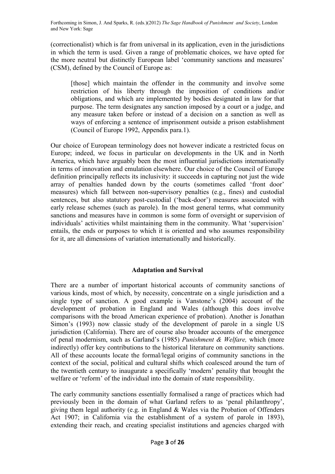(correctionalist) which is far from universal in its application, even in the jurisdictions in which the term is used. Given a range of problematic choices, we have opted for the more neutral but distinctly European label 'community sanctions and measures' (CSM), defined by the Council of Europe as:

[those] which maintain the offender in the community and involve some restriction of his liberty through the imposition of conditions and/or obligations, and which are implemented by bodies designated in law for that purpose. The term designates any sanction imposed by a court or a judge, and any measure taken before or instead of a decision on a sanction as well as ways of enforcing a sentence of imprisonment outside a prison establishment (Council of Europe 1992, Appendix para.1).

Our choice of European terminology does not however indicate a restricted focus on Europe; indeed, we focus in particular on developments in the UK and in North America, which have arguably been the most influential jurisdictions internationally in terms of innovation and emulation elsewhere. Our choice of the Council of Europe definition principally reflects its inclusivity: it succeeds in capturing not just the wide array of penalties handed down by the courts (sometimes called 'front door' measures) which fall between non-supervisory penalties (e.g., fines) and custodial sentences, but also statutory post-custodial ('back-door') measures associated with early release schemes (such as parole). In the most general terms, what community sanctions and measures have in common is some form of oversight or supervision of individuals' activities whilst maintaining them in the community. What 'supervision' entails, the ends or purposes to which it is oriented and who assumes responsibility for it, are all dimensions of variation internationally and historically.

#### **Adaptation and Survival**

There are a number of important historical accounts of community sanctions of various kinds, most of which, by necessity, concentrate on a single jurisdiction and a single type of sanction. A good example is Vanstone's (2004) account of the development of probation in England and Wales (although this does involve comparisons with the broad American experience of probation). Another is Jonathan Simon's (1993) now classic study of the development of parole in a single US jurisdiction (California). There are of course also broader accounts of the emergence of penal modernism, such as Garland's (1985) *Punishment & Welfare,* which (more indirectly) offer key contributions to the historical literature on community sanctions. All of these accounts locate the formal/legal origins of community sanctions in the context of the social, political and cultural shifts which coalesced around the turn of the twentieth century to inaugurate a specifically 'modern' penality that brought the welfare or 'reform' of the individual into the domain of state responsibility.

The early community sanctions essentially formalised a range of practices which had previously been in the domain of what Garland refers to as 'penal philanthropy', giving them legal authority (e.g. in England & Wales via the Probation of Offenders Act 1907; in California via the establishment of a system of parole in 1893), extending their reach, and creating specialist institutions and agencies charged with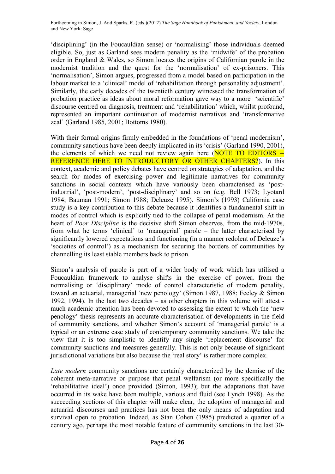'disciplining' (in the Foucauldian sense) or 'normalising' those individuals deemed eligible. So, just as Garland sees modern penality as the 'midwife' of the probation order in England & Wales, so Simon locates the origins of Californian parole in the modernist tradition and the quest for the 'normalisation' of ex-prisoners. This 'normalisation', Simon argues, progressed from a model based on participation in the labour market to a 'clinical' model of 'rehabilitation through personality adjustment'. Similarly, the early decades of the twentieth century witnessed the transformation of probation practice as ideas about moral reformation gave way to a more 'scientific' discourse centred on diagnosis, treatment and 'rehabilitation' which, whilst profound, represented an important continuation of modernist narratives and 'transformative zeal' (Garland 1985, 2001; Bottoms 1980).

With their formal origins firmly embedded in the foundations of 'penal modernism', community sanctions have been deeply implicated in its 'crisis' (Garland 1990, 2001), the elements of which we need not review again here (NOTE TO EDITORS -- REFERENCE HERE TO INTRODUCTORY OR OTHER CHAPTERS?). In this context, academic and policy debates have centred on strategies of adaptation, and the search for modes of exercising power and legitimate narratives for community sanctions in social contexts which have variously been characterised as 'postindustrial', 'post-modern', 'post-disciplinary' and so on (e.g. Bell 1973; Lyotard 1984; Bauman 1991; Simon 1988; Deleuze 1995). Simon's (1993) California case study is a key contribution to this debate because it identifies a fundamental shift in modes of control which is explicitly tied to the collapse of penal modernism. At the heart of *Poor Discipline* is the decisive shift Simon observes, from the mid-1970s, from what he terms 'clinical' to 'managerial' parole – the latter characterised by significantly lowered expectations and functioning (in a manner redolent of Deleuze's 'societies of control') as a mechanism for securing the borders of communities by channelling its least stable members back to prison.

Simon's analysis of parole is part of a wider body of work which has utilised a Foucauldian framework to analyse shifts in the exercise of power, from the normalising or 'disciplinary' mode of control characteristic of modern penality, toward an actuarial, managerial 'new penology' (Simon 1987, 1988; Feeley & Simon 1992, 1994). In the last two decades – as other chapters in this volume will attest much academic attention has been devoted to assessing the extent to which the 'new penology' thesis represents an accurate characterisation of developments in the field of community sanctions, and whether Simon's account of 'managerial parole' is a typical or an extreme case study of contemporary community sanctions. We take the view that it is too simplistic to identify any single 'replacement discourse' for community sanctions and measures generally. This is not only because of significant jurisdictional variations but also because the 'real story' is rather more complex.

*Late modern* community sanctions are certainly characterized by the demise of the coherent meta-narrative or purpose that penal welfarism (or more specifically the 'rehabilitative ideal') once provided (Simon, 1993); but the adaptations that have occurred in its wake have been multiple, various and fluid (see Lynch 1998). As the succeeding sections of this chapter will make clear, the adoption of managerial and actuarial discourses and practices has not been the only means of adaptation and survival open to probation. Indeed, as Stan Cohen (1985) predicted a quarter of a century ago, perhaps the most notable feature of community sanctions in the last 30-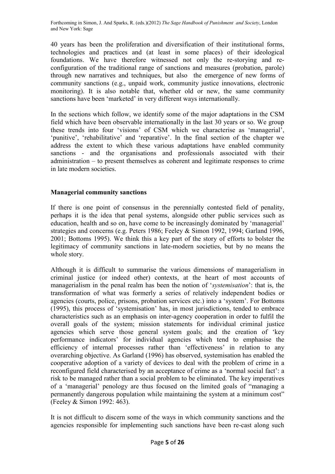40 years has been the proliferation and diversification of their institutional forms, technologies and practices and (at least in some places) of their ideological foundations. We have therefore witnessed not only the re-storying and reconfiguration of the traditional range of sanctions and measures (probation, parole) through new narratives and techniques, but also the emergence of new forms of community sanctions (e.g., unpaid work, community justice innovations, electronic monitoring). It is also notable that, whether old or new, the same community sanctions have been 'marketed' in very different ways internationally.

In the sections which follow, we identify some of the major adaptations in the CSM field which have been observable internationally in the last 30 years or so. We group these trends into four 'visions' of CSM which we characterise as 'managerial', 'punitive', 'rehabilitative' and 'reparative'. In the final section of the chapter we address the extent to which these various adaptations have enabled community sanctions - and the organisations and professionals associated with their administration – to present themselves as coherent and legitimate responses to crime in late modern societies.

### **Managerial community sanctions**

If there is one point of consensus in the perennially contested field of penality, perhaps it is the idea that penal systems, alongside other public services such as education, health and so on, have come to be increasingly dominated by 'managerial' strategies and concerns (e.g. Peters 1986; Feeley & Simon 1992, 1994; Garland 1996, 2001; Bottoms 1995). We think this a key part of the story of efforts to bolster the legitimacy of community sanctions in late-modern societies, but by no means the whole story.

Although it is difficult to summarise the various dimensions of managerialism in criminal justice (or indeed other) contexts, at the heart of most accounts of managerialism in the penal realm has been the notion of '*systemisation*': that is, the transformation of what was formerly a series of relatively independent bodies or agencies (courts, police, prisons, probation services etc.) into a 'system'. For Bottoms (1995), this process of 'systemisation' has, in most jurisdictions, tended to embrace characteristics such as an emphasis on inter-agency cooperation in order to fulfil the overall goals of the system; mission statements for individual criminal justice agencies which serve those general system goals; and the creation of 'key performance indicators' for individual agencies which tend to emphasise the efficiency of internal processes rather than 'effectiveness' in relation to any overarching objective. As Garland (1996) has observed, systemisation has enabled the cooperative adoption of a variety of devices to deal with the problem of crime in a reconfigured field characterised by an acceptance of crime as a 'normal social fact': a risk to be managed rather than a social problem to be eliminated. The key imperatives of a 'managerial' penology are thus focused on the limited goals of "managing a permanently dangerous population while maintaining the system at a minimum cost" (Feeley & Simon 1992: 463).

It is not difficult to discern some of the ways in which community sanctions and the agencies responsible for implementing such sanctions have been re-cast along such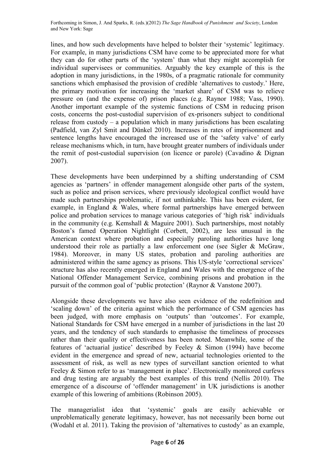lines, and how such developments have helped to bolster their 'systemic' legitimacy. For example, in many jurisdictions CSM have come to be appreciated more for what they can do for other parts of the 'system' than what they might accomplish for individual supervisees or communities. Arguably the key example of this is the adoption in many jurisdictions, in the 1980s, of a pragmatic rationale for community sanctions which emphasised the provision of credible 'alternatives to custody.' Here, the primary motivation for increasing the 'market share' of CSM was to relieve pressure on (and the expense of) prison places (e.g. Raynor 1988; Vass, 1990). Another important example of the systemic functions of CSM in reducing prison costs, concerns the post-custodial supervision of ex-prisoners subject to conditional release from custody – a population which in many jurisdictions has been escalating (Padfield, van Zyl Smit and Dünkel 2010). Increases in rates of imprisonment and sentence lengths have encouraged the increased use of the 'safety valve' of early release mechanisms which, in turn, have brought greater numbers of individuals under the remit of post-custodial supervision (on licence or parole) (Cavadino & Dignan 2007).

These developments have been underpinned by a shifting understanding of CSM agencies as 'partners' in offender management alongside other parts of the system, such as police and prison services, where previously ideological conflict would have made such partnerships problematic, if not unthinkable. This has been evident, for example, in England & Wales, where formal partnerships have emerged between police and probation services to manage various categories of 'high risk' individuals in the community (e.g. Kemshall & Maguire 2001). Such partnerships, most notably Boston's famed Operation Nightlight (Corbett, 2002), are less unusual in the American context where probation and especially paroling authorities have long understood their role as partially a law enforcement one (see Sigler & McGraw, 1984). Moreover, in many US states, probation and paroling authorities are administered within the same agency as prisons. This US-style 'correctional services' structure has also recently emerged in England and Wales with the emergence of the National Offender Management Service, combining prisons and probation in the pursuit of the common goal of 'public protection' (Raynor & Vanstone 2007).

Alongside these developments we have also seen evidence of the redefinition and 'scaling down' of the criteria against which the performance of CSM agencies has been judged, with more emphasis on 'outputs' than 'outcomes'. For example, National Standards for CSM have emerged in a number of jurisdictions in the last 20 years, and the tendency of such standards to emphasise the timeliness of processes rather than their quality or effectiveness has been noted. Meanwhile, some of the features of 'actuarial justice' described by Feeley & Simon (1994) have become evident in the emergence and spread of new, actuarial technologies oriented to the assessment of risk, as well as new types of surveillant sanction oriented to what Feeley & Simon refer to as 'management in place'. Electronically monitored curfews and drug testing are arguably the best examples of this trend (Nellis 2010). The emergence of a discourse of 'offender management' in UK jurisdictions is another example of this lowering of ambitions (Robinson 2005).

The managerialist idea that 'systemic' goals are easily achievable or unproblematically generate legitimacy, however, has not necessarily been borne out (Wodahl et al. 2011). Taking the provision of 'alternatives to custody' as an example,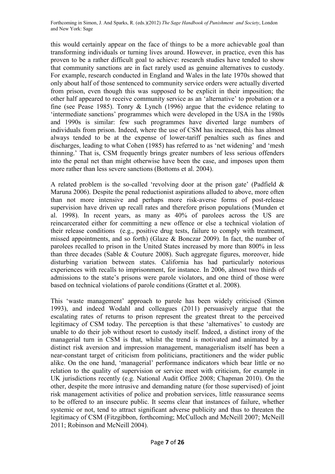this would certainly appear on the face of things to be a more achievable goal than transforming individuals or turning lives around. However, in practice, even this has proven to be a rather difficult goal to achieve: research studies have tended to show that community sanctions are in fact rarely used as genuine alternatives to custody. For example, research conducted in England and Wales in the late 1970s showed that only about half of those sentenced to community service orders were actually diverted from prison, even though this was supposed to be explicit in their imposition; the other half appeared to receive community service as an 'alternative' to probation or a fine (see Pease 1985). Tonry & Lynch (1996) argue that the evidence relating to 'intermediate sanctions' programmes which were developed in the USA in the 1980s and 1990s is similar: few such programmes have diverted large numbers of individuals from prison. Indeed, where the use of CSM has increased, this has almost always tended to be at the expense of lower-tariff penalties such as fines and discharges, leading to what Cohen (1985) has referred to as 'net widening' and 'mesh thinning.' That is, CSM frequently brings greater numbers of less serious offenders into the penal net than might otherwise have been the case, and imposes upon them more rather than less severe sanctions (Bottoms et al. 2004).

A related problem is the so-called 'revolving door at the prison gate' (Padfield & Maruna 2006). Despite the penal reductionist aspirations alluded to above, more often than not more intensive and perhaps more risk-averse forms of post-release supervision have driven up recall rates and therefore prison populations (Munden et al. 1998). In recent years, as many as 40% of parolees across the US are reincarcerated either for committing a new offence or else a technical violation of their release conditions (e.g., positive drug tests, failure to comply with treatment, missed appointments, and so forth) (Glaze & Bonczar 2009). In fact, the number of parolees recalled to prison in the United States increased by more than 800% in less than three decades (Sable & Couture 2008). Such aggregate figures, moreover, hide disturbing variation between states. California has had particularly notorious experiences with recalls to imprisonment, for instance. In 2006, almost two thirds of admissions to the state's prisons were parole violators, and one third of those were based on technical violations of parole conditions (Grattet et al. 2008).

This 'waste management' approach to parole has been widely criticised (Simon 1993), and indeed Wodahl and colleagues (2011) persuasively argue that the escalating rates of returns to prison represent the greatest threat to the perceived legitimacy of CSM today. The perception is that these 'alternatives' to custody are unable to do their job without resort to custody itself. Indeed, a distinct irony of the managerial turn in CSM is that, whilst the trend is motivated and animated by a distinct risk aversion and impression management, managerialism itself has been a near-constant target of criticism from politicians, practitioners and the wider public alike. On the one hand, 'managerial' performance indicators which bear little or no relation to the quality of supervision or service meet with criticism, for example in UK jurisdictions recently (e.g. National Audit Office 2008; Chapman 2010). On the other, despite the more intrusive and demanding nature (for those supervised) of joint risk management activities of police and probation services, little reassurance seems to be offered to an insecure public. It seems clear that instances of failure, whether systemic or not, tend to attract significant adverse publicity and thus to threaten the legitimacy of CSM (Fitzgibbon, forthcoming; McCulloch and McNeill 2007; McNeill 2011; Robinson and McNeill 2004).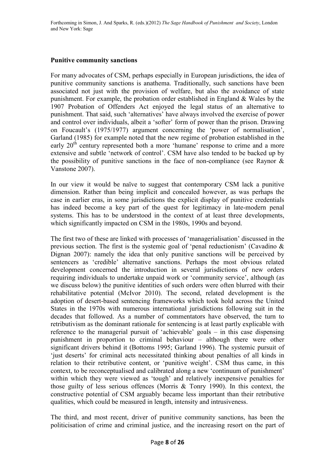### **Punitive community sanctions**

For many advocates of CSM, perhaps especially in European jurisdictions, the idea of punitive community sanctions is anathema. Traditionally, such sanctions have been associated not just with the provision of welfare, but also the avoidance of state punishment. For example, the probation order established in England & Wales by the 1907 Probation of Offenders Act enjoyed the legal status of an alternative to punishment. That said, such 'alternatives' have always involved the exercise of power and control over individuals, albeit a 'softer' form of power than the prison. Drawing on Foucault's (1975/1977) argument concerning the 'power of normalisation', Garland (1985) for example noted that the new regime of probation established in the early 20<sup>th</sup> century represented both a more 'humane' response to crime and a more extensive and subtle 'network of control'. CSM have also tended to be backed up by the possibility of punitive sanctions in the face of non-compliance (see Raynor  $\&$ Vanstone 2007).

In our view it would be naïve to suggest that contemporary CSM lack a punitive dimension. Rather than being implicit and concealed however, as was perhaps the case in earlier eras, in some jurisdictions the explicit display of punitive credentials has indeed become a key part of the quest for legitimacy in late-modern penal systems. This has to be understood in the context of at least three developments, which significantly impacted on CSM in the 1980s, 1990s and beyond.

The first two of these are linked with processes of 'managerialisation' discussed in the previous section. The first is the systemic goal of 'penal reductionism' (Cavadino & Dignan 2007): namely the idea that only punitive sanctions will be perceived by sentencers as 'credible' alternative sanctions. Perhaps the most obvious related development concerned the introduction in several jurisdictions of new orders requiring individuals to undertake unpaid work or 'community service', although (as we discuss below) the punitive identities of such orders were often blurred with their rehabilitative potential (McIvor 2010). The second, related development is the adoption of desert-based sentencing frameworks which took hold across the United States in the 1970s with numerous international jurisdictions following suit in the decades that followed. As a number of commentators have observed, the turn to retributivism as the dominant rationale for sentencing is at least partly explicable with reference to the managerial pursuit of 'achievable' goals – in this case dispensing punishment in proportion to criminal behaviour – although there were other significant drivers behind it (Bottoms 1995; Garland 1996). The systemic pursuit of 'just deserts' for criminal acts necessitated thinking about penalties of all kinds in relation to their retributive content, or 'punitive weight'. CSM thus came, in this context, to be reconceptualised and calibrated along a new 'continuum of punishment' within which they were viewed as 'tough' and relatively inexpensive penalties for those guilty of less serious offences (Morris & Tonry 1990). In this context, the constructive potential of CSM arguably became less important than their retributive qualities, which could be measured in length, intensity and intrusiveness.

The third, and most recent, driver of punitive community sanctions, has been the politicisation of crime and criminal justice, and the increasing resort on the part of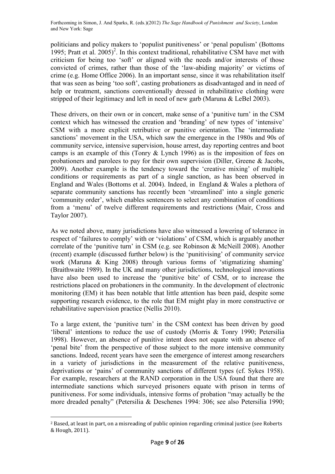politicians and policy makers to 'populist punitiveness' or 'penal populism' (Bottoms 1995; Pratt et al.  $2005$ <sup>2</sup>. In this context traditional, rehabilitative CSM have met with criticism for being too 'soft' or aligned with the needs and/or interests of those convicted of crimes, rather than those of the 'law-abiding majority' or victims of crime (e.g. Home Office 2006). In an important sense, since it was rehabilitation itself that was seen as being 'too soft', casting probationers as disadvantaged and in need of help or treatment, sanctions conventionally dressed in rehabilitative clothing were stripped of their legitimacy and left in need of new garb (Maruna & LeBel 2003).

These drivers, on their own or in concert, make sense of a 'punitive turn' in the CSM context which has witnessed the creation and 'branding' of new types of 'intensive' CSM with a more explicit retributive or punitive orientation. The 'intermediate sanctions' movement in the USA, which saw the emergence in the 1980s and 90s of community service, intensive supervision, house arrest, day reporting centres and boot camps is an example of this (Tonry & Lynch 1996) as is the imposition of fees on probationers and parolees to pay for their own supervision (Diller, Greene & Jacobs, 2009). Another example is the tendency toward the 'creative mixing' of multiple conditions or requirements as part of a single sanction, as has been observed in England and Wales (Bottoms et al. 2004). Indeed, in England & Wales a plethora of separate community sanctions has recently been 'streamlined' into a single generic 'community order', which enables sentencers to select any combination of conditions from a 'menu' of twelve different requirements and restrictions (Mair, Cross and Taylor 2007).

As we noted above, many jurisdictions have also witnessed a lowering of tolerance in respect of 'failures to comply' with or 'violations' of CSM, which is arguably another correlate of the 'punitive turn' in CSM (e.g. see Robinson & McNeill 2008). Another (recent) example (discussed further below) is the 'punitivising' of community service work (Maruna & King 2008) through various forms of 'stigmatizing shaming' (Braithwaite 1989). In the UK and many other jurisdictions, technological innovations have also been used to increase the 'punitive bite' of CSM, or to increase the restrictions placed on probationers in the community. In the development of electronic monitoring (EM) it has been notable that little attention has been paid, despite some supporting research evidence, to the role that EM might play in more constructive or rehabilitative supervision practice (Nellis 2010).

To a large extent, the 'punitive turn' in the CSM context has been driven by good 'liberal' intentions to reduce the use of custody (Morris & Tonry 1990; Petersilia 1998). However, an absence of punitive intent does not equate with an absence of 'penal bite' from the perspective of those subject to the more intensive community sanctions. Indeed, recent years have seen the emergence of interest among researchers in a variety of jurisdictions in the measurement of the relative punitiveness, deprivations or 'pains' of community sanctions of different types (cf. Sykes 1958). For example, researchers at the RAND corporation in the USA found that there are intermediate sanctions which surveyed prisoners equate with prison in terms of punitiveness. For some individuals, intensive forms of probation "may actually be the more dreaded penalty" (Petersilia & Deschenes 1994: 306; see also Petersilia 1990;

<u>.</u>

<sup>2</sup> Based, at least in part, on a misreading of public opinion regarding criminal justice (see Roberts & Hough, 2011).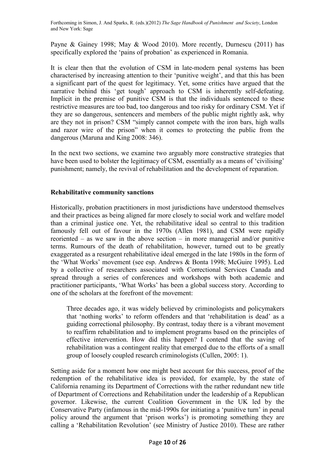Payne & Gainey 1998; May & Wood 2010). More recently, Durnescu (2011) has specifically explored the 'pains of probation' as experienced in Romania.

It is clear then that the evolution of CSM in late-modern penal systems has been characterised by increasing attention to their 'punitive weight', and that this has been a significant part of the quest for legitimacy. Yet, some critics have argued that the narrative behind this 'get tough' approach to CSM is inherently self-defeating. Implicit in the premise of punitive CSM is that the individuals sentenced to these restrictive measures are too bad, too dangerous and too risky for ordinary CSM. Yet if they are so dangerous, sentencers and members of the public might rightly ask, why are they not in prison? CSM "simply cannot compete with the iron bars, high walls and razor wire of the prison" when it comes to protecting the public from the dangerous (Maruna and King 2008: 346).

In the next two sections, we examine two arguably more constructive strategies that have been used to bolster the legitimacy of CSM, essentially as a means of 'civilising' punishment; namely, the revival of rehabilitation and the development of reparation.

### **Rehabilitative community sanctions**

Historically, probation practitioners in most jurisdictions have understood themselves and their practices as being aligned far more closely to social work and welfare model than a criminal justice one. Yet, the rehabilitative ideal so central to this tradition famously fell out of favour in the 1970s (Allen 1981), and CSM were rapidly reoriented – as we saw in the above section – in more managerial and/or punitive terms. Rumours of the death of rehabilitation, however, turned out to be greatly exaggerated as a resurgent rehabilitative ideal emerged in the late 1980s in the form of the 'What Works' movement (see esp. Andrews & Bonta 1998; McGuire 1995). Led by a collective of researchers associated with Correctional Services Canada and spread through a series of conferences and workshops with both academic and practitioner participants, 'What Works' has been a global success story. According to one of the scholars at the forefront of the movement:

Three decades ago, it was widely believed by criminologists and policymakers that 'nothing works' to reform offenders and that 'rehabilitation is dead' as a guiding correctional philosophy. By contrast, today there is a vibrant movement to reaffirm rehabilitation and to implement programs based on the principles of effective intervention. How did this happen? I contend that the saving of rehabilitation was a contingent reality that emerged due to the efforts of a small group of loosely coupled research criminologists (Cullen, 2005: 1).

Setting aside for a moment how one might best account for this success, proof of the redemption of the rehabilitative idea is provided, for example, by the state of California renaming its Department of Corrections with the rather redundant new title of Department of Corrections and Rehabilitation under the leadership of a Republican governor. Likewise, the current Coalition Government in the UK led by the Conservative Party (infamous in the mid-1990s for initiating a 'punitive turn' in penal policy around the argument that 'prison works') is promoting something they are calling a 'Rehabilitation Revolution' (see Ministry of Justice 2010). These are rather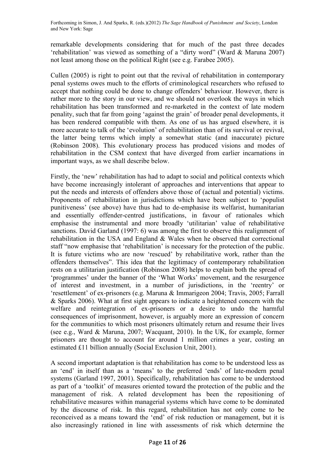remarkable developments considering that for much of the past three decades 'rehabilitation' was viewed as something of a "dirty word" (Ward & Maruna 2007) not least among those on the political Right (see e.g. Farabee 2005).

Cullen (2005) is right to point out that the revival of rehabilitation in contemporary penal systems owes much to the efforts of criminological researchers who refused to accept that nothing could be done to change offenders' behaviour. However, there is rather more to the story in our view, and we should not overlook the ways in which rehabilitation has been transformed and re-marketed in the context of late modern penality, such that far from going 'against the grain' of broader penal developments, it has been rendered compatible with them. As one of us has argued elsewhere, it is more accurate to talk of the 'evolution' of rehabilitation than of its survival or revival, the latter being terms which imply a somewhat static (and inaccurate) picture (Robinson 2008). This evolutionary process has produced visions and modes of rehabilitation in the CSM context that have diverged from earlier incarnations in important ways, as we shall describe below.

Firstly, the 'new' rehabilitation has had to adapt to social and political contexts which have become increasingly intolerant of approaches and interventions that appear to put the needs and interests of offenders above those of (actual and potential) victims. Proponents of rehabilitation in jurisdictions which have been subject to 'populist punitiveness' (see above) have thus had to de-emphasise its welfarist, humanitarian and essentially offender-centred justifications, in favour of rationales which emphasise the instrumental and more broadly 'utilitarian' value of rehabilitative sanctions. David Garland (1997: 6) was among the first to observe this realignment of rehabilitation in the USA and England & Wales when he observed that correctional staff "now emphasise that 'rehabilitation' is necessary for the protection of the public. It is future victims who are now 'rescued' by rehabilitative work, rather than the offenders themselves". This idea that the legitimacy of contemporary rehabilitation rests on a utilitarian justification (Robinson 2008) helps to explain both the spread of 'programmes' under the banner of the 'What Works' movement, and the resurgence of interest and investment, in a number of jurisdictions, in the 'reentry' or 'resettlement' of ex-prisoners (e.g. Maruna & Immarigeon 2004; Travis, 2005; Farrall & Sparks 2006). What at first sight appears to indicate a heightened concern with the welfare and reintegration of ex-prisoners or a desire to undo the harmful consequences of imprisonment, however, is arguably more an expression of concern for the communities to which most prisoners ultimately return and resume their lives (see e.g., Ward & Maruna, 2007; Wacquant, 2010). In the UK, for example, former prisoners are thought to account for around 1 million crimes a year, costing an estimated £11 billion annually (Social Exclusion Unit, 2001).

A second important adaptation is that rehabilitation has come to be understood less as an 'end' in itself than as a 'means' to the preferred 'ends' of late-modern penal systems (Garland 1997, 2001). Specifically, rehabilitation has come to be understood as part of a 'toolkit' of measures oriented toward the protection of the public and the management of risk. A related development has been the repositioning of rehabilitative measures within managerial systems which have come to be dominated by the discourse of risk. In this regard, rehabilitation has not only come to be reconceived as a means toward the 'end' of risk reduction or management, but it is also increasingly rationed in line with assessments of risk which determine the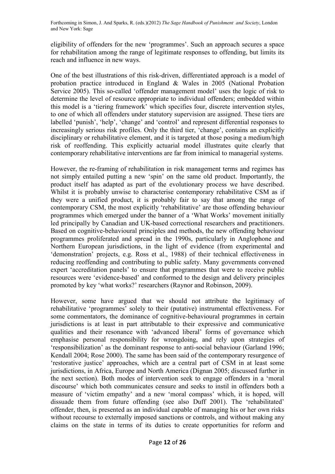eligibility of offenders for the new 'programmes'. Such an approach secures a space for rehabilitation among the range of legitimate responses to offending, but limits its reach and influence in new ways.

One of the best illustrations of this risk-driven, differentiated approach is a model of probation practice introduced in England & Wales in 2005 (National Probation Service 2005). This so-called 'offender management model' uses the logic of risk to determine the level of resource appropriate to individual offenders; embedded within this model is a 'tiering framework' which specifies four, discrete intervention styles, to one of which all offenders under statutory supervision are assigned. These tiers are labelled 'punish', 'help', 'change' and 'control' and represent differential responses to increasingly serious risk profiles. Only the third tier, 'change', contains an explicitly disciplinary or rehabilitative element, and it is targeted at those posing a medium/high risk of reoffending. This explicitly actuarial model illustrates quite clearly that contemporary rehabilitative interventions are far from inimical to managerial systems.

However, the re-framing of rehabilitation in risk management terms and regimes has not simply entailed putting a new 'spin' on the same old product. Importantly, the product itself has adapted as part of the evolutionary process we have described. Whilst it is probably unwise to characterise contemporary rehabilitative CSM as if they were a unified product, it is probably fair to say that among the range of contemporary CSM, the most explicitly 'rehabilitative' are those offending behaviour programmes which emerged under the banner of a 'What Works' movement initially led principally by Canadian and UK-based correctional researchers and practitioners. Based on cognitive-behavioural principles and methods, the new offending behaviour programmes proliferated and spread in the 1990s, particularly in Anglophone and Northern European jurisdictions, in the light of evidence (from experimental and 'demonstration' projects, e.g. Ross et al., 1988) of their technical effectiveness in reducing reoffending and contributing to public safety. Many governments convened expert 'accreditation panels' to ensure that programmes that were to receive public resources were 'evidence-based' and conformed to the design and delivery principles promoted by key 'what works?' researchers (Raynor and Robinson, 2009).

However, some have argued that we should not attribute the legitimacy of rehabilitative 'programmes' solely to their (putative) instrumental effectiveness. For some commentators, the dominance of cognitive-behavioural programmes in certain jurisdictions is at least in part attributable to their expressive and communicative qualities and their resonance with 'advanced liberal' forms of governance which emphasise personal responsibility for wrongdoing, and rely upon strategies of 'responsibilization' as the dominant response to anti-social behaviour (Garland 1996; Kendall 2004; Rose 2000). The same has been said of the contemporary resurgence of 'restorative justice' approaches, which are a central part of CSM in at least some jurisdictions, in Africa, Europe and North America (Dignan 2005; discussed further in the next section). Both modes of intervention seek to engage offenders in a 'moral discourse' which both communicates censure and seeks to instil in offenders both a measure of 'victim empathy' and a new 'moral compass' which, it is hoped, will dissuade them from future offending (see also Duff 2001). The 'rehabilitated' offender, then, is presented as an individual capable of managing his or her own risks without recourse to externally imposed sanctions or controls, and without making any claims on the state in terms of its duties to create opportunities for reform and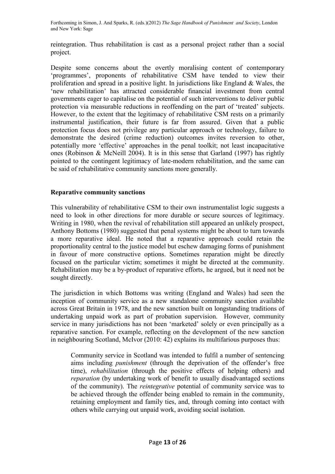reintegration. Thus rehabilitation is cast as a personal project rather than a social project.

Despite some concerns about the overtly moralising content of contemporary 'programmes', proponents of rehabilitative CSM have tended to view their proliferation and spread in a positive light. In jurisdictions like England & Wales, the 'new rehabilitation' has attracted considerable financial investment from central governments eager to capitalise on the potential of such interventions to deliver public protection via measurable reductions in reoffending on the part of 'treated' subjects. However, to the extent that the legitimacy of rehabilitative CSM rests on a primarily instrumental justification, their future is far from assured. Given that a public protection focus does not privilege any particular approach or technology, failure to demonstrate the desired (crime reduction) outcomes invites reversion to other, potentially more 'effective' approaches in the penal toolkit; not least incapacitative ones (Robinson & McNeill 2004). It is in this sense that Garland (1997) has rightly pointed to the contingent legitimacy of late-modern rehabilitation, and the same can be said of rehabilitative community sanctions more generally.

#### **Reparative community sanctions**

This vulnerability of rehabilitative CSM to their own instrumentalist logic suggests a need to look in other directions for more durable or secure sources of legitimacy. Writing in 1980, when the revival of rehabilitation still appeared an unlikely prospect, Anthony Bottoms (1980) suggested that penal systems might be about to turn towards a more reparative ideal. He noted that a reparative approach could retain the proportionality central to the justice model but eschew damaging forms of punishment in favour of more constructive options. Sometimes reparation might be directly focused on the particular victim; sometimes it might be directed at the community. Rehabilitation may be a by-product of reparative efforts, he argued, but it need not be sought directly.

The jurisdiction in which Bottoms was writing (England and Wales) had seen the inception of community service as a new standalone community sanction available across Great Britain in 1978, and the new sanction built on longstanding traditions of undertaking unpaid work as part of probation supervision. However, community service in many jurisdictions has not been 'marketed' solely or even principally as a reparative sanction. For example, reflecting on the development of the new sanction in neighbouring Scotland, McIvor (2010: 42) explains its multifarious purposes thus:

Community service in Scotland was intended to fulfil a number of sentencing aims including *punishment* (through the deprivation of the offender's free time), *rehabilitation* (through the positive effects of helping others) and *reparation* (by undertaking work of benefit to usually disadvantaged sections of the community). The *reintegrative* potential of community service was to be achieved through the offender being enabled to remain in the community, retaining employment and family ties, and, through coming into contact with others while carrying out unpaid work, avoiding social isolation.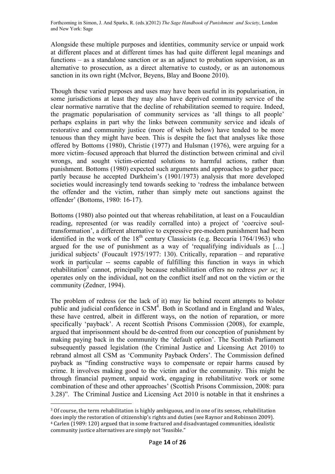Alongside these multiple purposes and identities, community service or unpaid work at different places and at different times has had quite different legal meanings and functions – as a standalone sanction or as an adjunct to probation supervision, as an alternative to prosecution, as a direct alternative to custody, or as an autonomous sanction in its own right (McIvor, Beyens, Blay and Boone 2010).

Though these varied purposes and uses may have been useful in its popularisation, in some jurisdictions at least they may also have deprived community service of the clear normative narrative that the decline of rehabilitation seemed to require. Indeed, the pragmatic popularisation of community services as 'all things to all people' perhaps explains in part why the links between community service and ideals of restorative and community justice (more of which below) have tended to be more tenuous than they might have been. This is despite the fact that analyses like those offered by Bottoms (1980), Christie (1977) and Hulsman (1976), were arguing for a more victim–focused approach that blurred the distinction between criminal and civil wrongs, and sought victim-oriented solutions to harmful actions, rather than punishment. Bottoms (1980) expected such arguments and approaches to gather pace; partly because he accepted Durkheim's (1901/1973) analysis that more developed societies would increasingly tend towards seeking to 'redress the imbalance between the offender and the victim, rather than simply mete out sanctions against the offender' (Bottoms, 1980: 16-17).

Bottoms (1980) also pointed out that whereas rehabilitation, at least on a Foucauldian reading, represented (or was readily corralled into) a project of 'coercive soultransformation', a different alternative to expressive pre-modern punishment had been identified in the work of the  $18<sup>th</sup>$  century Classicists (e.g. Beccaria 1764/1963) who argued for the use of punishment as a way of 'requalifying individuals as […] juridical subjects' (Foucault 1975/1977: 130). Critically, reparation – and reparative work in particular -- seems capable of fulfilling this function in ways in which rehabilitation<sup>3</sup> cannot, principally because rehabilitation offers no redress *per se*; it operates only on the individual, not on the conflict itself and not on the victim or the community (Zedner, 1994).

The problem of redress (or the lack of it) may lie behind recent attempts to bolster public and judicial confidence in CSM<sup>4</sup>. Both in Scotland and in England and Wales, these have centred, albeit in different ways, on the notion of reparation, or more specifically 'payback'. A recent Scottish Prisons Commission (2008), for example, argued that imprisonment should be de-centred from our conception of punishment by making paying back in the community the 'default option'. The Scottish Parliament subsequently passed legislation (the Criminal Justice and Licensing Act 2010) to rebrand almost all CSM as 'Community Payback Orders'. The Commission defined payback as "finding constructive ways to compensate or repair harms caused by crime. It involves making good to the victim and/or the community. This might be through financial payment, unpaid work, engaging in rehabilitative work or some combination of these and other approaches' (Scottish Prisons Commission, 2008: para 3.28)". The Criminal Justice and Licensing Act 2010 is notable in that it enshrines a

-

<sup>3</sup> Of course, the term rehabilitation is highly ambiguous, and in one of its senses, rehabilitation does imply the restoration of citizenship's rights and duties (see Raynor and Robinson 2009). <sup>4</sup> Carlen (1989: 120) argued that in some fractured and disadvantaged communities, idealistic community justice alternatives are simply not "feasible."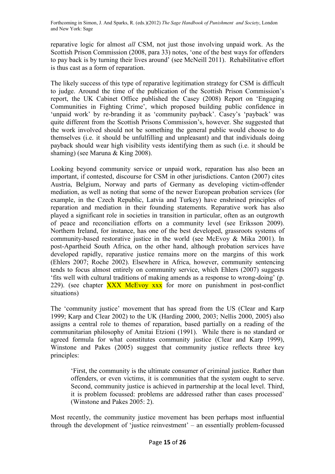reparative logic for almost *all* CSM, not just those involving unpaid work. As the Scottish Prison Commission (2008, para 33) notes, 'one of the best ways for offenders to pay back is by turning their lives around' (see McNeill 2011). Rehabilitative effort is thus cast as a form of reparation.

The likely success of this type of reparative legitimation strategy for CSM is difficult to judge. Around the time of the publication of the Scottish Prison Commission's report, the UK Cabinet Office published the Casey (2008) Report on 'Engaging Communities in Fighting Crime', which proposed building public confidence in 'unpaid work' by re-branding it as 'community payback'. Casey's 'payback' was quite different from the Scottish Prisons Commission's, however. She suggested that the work involved should not be something the general public would choose to do themselves (i.e. it should be unfulfilling and unpleasant) and that individuals doing payback should wear high visibility vests identifying them as such (i.e. it should be shaming) (see Maruna & King 2008).

Looking beyond community service or unpaid work, reparation has also been an important, if contested, discourse for CSM in other jurisdictions. Canton (2007) cites Austria, Belgium, Norway and parts of Germany as developing victim-offender mediation, as well as noting that some of the newer European probation services (for example, in the Czech Republic, Latvia and Turkey) have enshrined principles of reparation and mediation in their founding statements. Reparative work has also played a significant role in societies in transition in particular, often as an outgrowth of peace and reconciliation efforts on a community level (see Eriksson 2009). Northern Ireland, for instance, has one of the best developed, grassroots systems of community-based restorative justice in the world (see McEvoy & Mika 2001). In post-Apartheid South Africa, on the other hand, although probation services have developed rapidly, reparative justice remains more on the margins of this work (Ehlers 2007; Roche 2002). Elsewhere in Africa, however, community sentencing tends to focus almost entirely on community service, which Ehlers (2007) suggests 'fits well with cultural traditions of making amends as a response to wrong-doing' (p. 229). (see chapter  $\overline{XXX}$  McEvoy  $\overline{XXX}$  for more on punishment in post-conflict situations)

The 'community justice' movement that has spread from the US (Clear and Karp 1999; Karp and Clear 2002) to the UK (Harding 2000, 2003; Nellis 2000, 2005) also assigns a central role to themes of reparation, based partially on a reading of the communitarian philosophy of Amitai Etzioni (1991). While there is no standard or agreed formula for what constitutes community justice (Clear and Karp 1999), Winstone and Pakes (2005) suggest that community justice reflects three key principles:

'First, the community is the ultimate consumer of criminal justice. Rather than offenders, or even victims, it is communities that the system ought to serve. Second, community justice is achieved in partnership at the local level. Third, it is problem focussed: problems are addressed rather than cases processed' (Winstone and Pakes 2005: 2).

Most recently, the community justice movement has been perhaps most influential through the development of 'justice reinvestment' – an essentially problem-focussed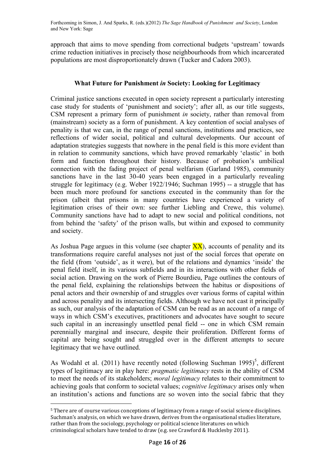approach that aims to move spending from correctional budgets 'upstream' towards crime reduction initiatives in precisely those neighbourhoods from which incarcerated populations are most disproportionately drawn (Tucker and Cadora 2003).

# **What Future for Punishment** *in* **Society: Looking for Legitimacy**

Criminal justice sanctions executed in open society represent a particularly interesting case study for students of 'punishment and society'; after all, as our title suggests, CSM represent a primary form of punishment *in* society, rather than removal from (mainstream) society as a form of punishment. A key contention of social analyses of penality is that we can, in the range of penal sanctions, institutions and practices, see reflections of wider social, political and cultural developments. Our account of adaptation strategies suggests that nowhere in the penal field is this more evident than in relation to community sanctions, which have proved remarkably 'elastic' in both form and function throughout their history. Because of probation's umbilical connection with the fading project of penal welfarism (Garland 1985), community sanctions have in the last 30-40 years been engaged in a particularly revealing struggle for legitimacy (e.g. Weber 1922/1946; Suchman 1995) -- a struggle that has been much more profound for sanctions executed in the community than for the prison (albeit that prisons in many countries have experienced a variety of legitimation crises of their own: see further Liebling and Crewe, this volume). Community sanctions have had to adapt to new social and political conditions, not from behind the 'safety' of the prison walls, but within and exposed to community and society.

As Joshua Page argues in this volume (see chapter  $\overline{XX}$ ), accounts of penality and its transformations require careful analyses not just of the social forces that operate on the field (from 'outside', as it were), but of the relations and dynamics 'inside' the penal field itself, in its various subfields and in its interactions with other fields of social action. Drawing on the work of Pierre Bourdieu, Page outlines the contours of the penal field, explaining the relationships between the habitus or dispositions of penal actors and their ownership of and struggles over various forms of capital within and across penality and its intersecting fields. Although we have not cast it principally as such, our analysis of the adaptation of CSM can be read as an account of a range of ways in which CSM's executives, practitioners and advocates have sought to secure such capital in an increasingly unsettled penal field -- one in which CSM remain perennially marginal and insecure, despite their proliferation. Different forms of capital are being sought and struggled over in the different attempts to secure legitimacy that we have outlined.

As Wodahl et al. (2011) have recently noted (following Suchman  $1995$ )<sup>5</sup>, different types of legitimacy are in play here: *pragmatic legitimacy* rests in the ability of CSM to meet the needs of its stakeholders; *moral legitimacy* relates to their commitment to achieving goals that conform to societal values; *cognitive legitimacy* arises only when an institution's actions and functions are so woven into the social fabric that they

-

<sup>5</sup> There are of course various conceptions of legitimacy from a range of social science disciplines. Suchman's analysis, on which we have drawn, derives from the organisational studies literature, rather than from the sociology, psychology or political science literatures on which criminological scholars have tended to draw (e.g. see Crawford & Hucklesby 2011).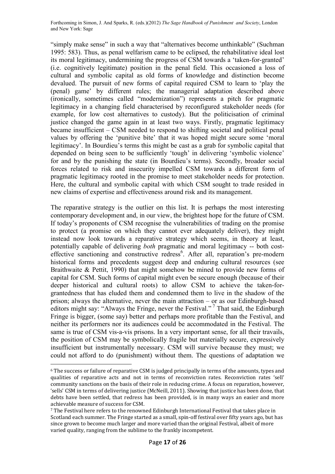"simply make sense" in such a way that "alternatives become unthinkable" (Suchman 1995: 583). Thus, as penal welfarism came to be eclipsed, the rehabilitative ideal lost its moral legitimacy, undermining the progress of CSM towards a 'taken-for-granted' (i.e. cognitively legitimate) position in the penal field. This occasioned a loss of cultural and symbolic capital as old forms of knowledge and distinction become devalued. The pursuit of new forms of capital required CSM to learn to 'play the (penal) game' by different rules; the managerial adaptation described above (ironically, sometimes called "modernization") represents a pitch for pragmatic legitimacy in a changing field characterised by reconfigured stakeholder needs (for example, for low cost alternatives to custody). But the politicisation of criminal justice changed the game again in at least two ways. Firstly, pragmatic legitimacy became insufficient – CSM needed to respond to shifting societal and political penal values by offering the 'punitive bite' that it was hoped might secure some 'moral legitimacy'. In Bourdieu's terms this might be cast as a grab for symbolic capital that depended on being seen to be sufficiently 'tough' in delivering 'symbolic violence' for and by the punishing the state (in Bourdieu's terms). Secondly, broader social forces related to risk and insecurity impelled CSM towards a different form of pragmatic legitimacy rooted in the promise to meet stakeholder needs for protection. Here, the cultural and symbolic capital with which CSM sought to trade resided in new claims of expertise and effectiveness around risk and its management.

The reparative strategy is the outlier on this list. It is perhaps the most interesting contemporary development and, in our view, the brightest hope for the future of CSM. If today's proponents of CSM recognise the vulnerabilities of trading on the promise to protect (a promise on which they cannot ever adequately deliver), they might instead now look towards a reparative strategy which seems, in theory at least, potentially capable of delivering *both* pragmatic and moral legitimacy -- both costeffective sanctioning and constructive redress<sup>6</sup>. After all, reparation's pre-modern historical forms and precedents suggest deep and enduring cultural resources (see Braithwaite & Pettit, 1990) that might somehow be mined to provide new forms of capital for CSM. Such forms of capital might even be secure enough (because of their deeper historical and cultural roots) to allow CSM to achieve the taken-forgrantedness that has eluded them and condemned them to live in the shadow of the prison; always the alternative, never the main attraction – or as our Edinburgh-based editors might say: "Always the Fringe, never the Festival."<sup>7</sup> That said, the Edinburgh Fringe is bigger, (some say) better and perhaps more profitable than the Festival, and neither its performers nor its audiences could be accommodated in the Festival. The same is true of CSM vis-a-vis prisons. In a very important sense, for all their travails, the position of CSM may be symbolically fragile but materially secure, expressively insufficient but instrumentally necessary. CSM will survive because they must; we could not afford to do (punishment) without them. The questions of adaptation we

<u>.</u>

<sup>6</sup> The success or failure of reparative CSM is judged principally in terms of the amounts, types and qualities of reparative acts and not in terms of reconviction rates. Reconviction rates 'sell' community sanctions on the basis of their role in reducing crime. A focus on reparation, however, 'sells' CSM in terms of delivering justice (McNeill, 2011). Showing that justice has been done, that debts have been settled, that redress has been provided, is in many ways an easier and more achievable measure of success for CSM.

<sup>7</sup> The Festival here refers to the renowned Edinburgh International Festival that takes place in Scotland each summer. The Fringe started as a small, spin-off festival over fifty years ago, but has since grown to become much larger and more varied than the original Festival, albeit of more varied quality, ranging from the sublime to the frankly incompetent.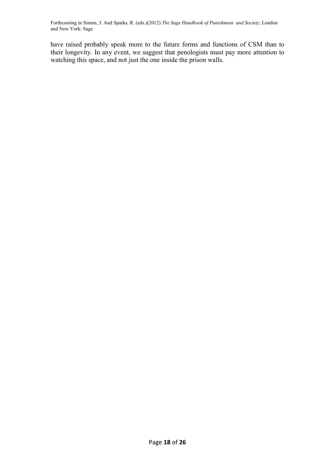have raised probably speak more to the future forms and functions of CSM than to their longevity. In any event, we suggest that penologists must pay more attention to watching this space, and not just the one inside the prison walls.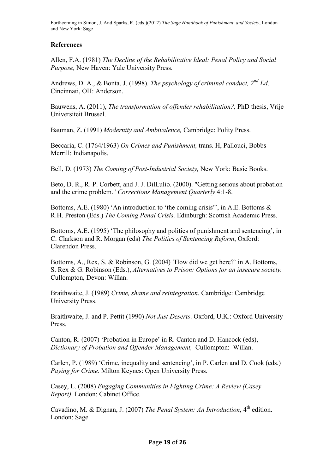## **References**

Allen, F.A. (1981) *The Decline of the Rehabilitative Ideal: Penal Policy and Social Purpose,* New Haven: Yale University Press.

Andrews, D. A., & Bonta, J. (1998). *The psychology of criminal conduct, 2nd Ed*. Cincinnati, OH: Anderson.

Bauwens, A. (2011), *The transformation of offender rehabilitation?,* PhD thesis, Vrije Universiteit Brussel.

Bauman, Z. (1991) *Modernity and Ambivalence,* Cambridge: Polity Press.

Beccaria, C. (1764/1963) *On Crimes and Punishment,* trans. H, Pallouci, Bobbs-Merrill: Indianapolis.

Bell, D. (1973) *The Coming of Post-Industrial Society,* New York: Basic Books.

Beto, D. R., R. P. Corbett, and J. J. DilLulio. (2000). "Getting serious about probation and the crime problem." *Corrections Management Quarterly* 4:1-8.

Bottoms, A.E. (1980) 'An introduction to 'the coming crisis'', in A.E. Bottoms  $\&$ R.H. Preston (Eds.) *The Coming Penal Crisis,* Edinburgh: Scottish Academic Press.

Bottoms, A.E. (1995) 'The philosophy and politics of punishment and sentencing', in C. Clarkson and R. Morgan (eds) *The Politics of Sentencing Reform*, Oxford: Clarendon Press.

Bottoms, A., Rex, S. & Robinson, G. (2004) 'How did we get here?' in A. Bottoms, S. Rex & G. Robinson (Eds.), *Alternatives to Prison: Options for an insecure society.*  Cullompton, Devon: Willan.

Braithwaite, J. (1989) *Crime, shame and reintegration*. Cambridge: Cambridge University Press.

Braithwaite, J. and P. Pettit (1990) *Not Just Deserts*. Oxford, U.K.: Oxford University **Press**.

Canton, R. (2007) 'Probation in Europe' in R. Canton and D. Hancock (eds), *Dictionary of Probation and Offender Management,* Cullompton: Willan.

Carlen, P. (1989) 'Crime, inequality and sentencing', in P. Carlen and D. Cook (eds.) *Paying for Crime.* Milton Keynes: Open University Press.

Casey, L. (2008) *Engaging Communities in Fighting Crime: A Review (Casey Report)*. London: Cabinet Office.

Cavadino, M. & Dignan, J. (2007) *The Penal System: An Introduction*, 4<sup>th</sup> edition. London: Sage.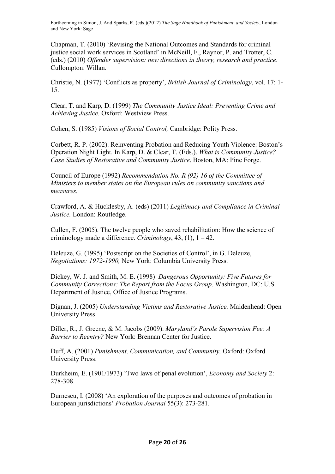Chapman, T. (2010) 'Revising the National Outcomes and Standards for criminal justice social work services in Scotland' in McNeill, F., Raynor, P. and Trotter, C. (eds.) (2010) *Offender supervision: new directions in theory, research and practice*. Cullompton: Willan.

Christie, N. (1977) 'Conflicts as property', *British Journal of Criminology*, vol. 17: 1- 15.

Clear, T. and Karp, D. (1999) *The Community Justice Ideal: Preventing Crime and Achieving Justice.* Oxford: Westview Press.

Cohen, S. (1985) *Visions of Social Control,* Cambridge: Polity Press.

Corbett, R. P. (2002). Reinventing Probation and Reducing Youth Violence: Boston's Operation Night Light. In Karp, D. & Clear, T. (Eds.). *What is Community Justice? Case Studies of Restorative and Community Justice*. Boston, MA: Pine Forge.

Council of Europe (1992) *Recommendation No. R (92) 16 of the Committee of Ministers to member states on the European rules on community sanctions and measures.* 

Crawford, A. & Hucklesby, A. (eds) (2011) *Legitimacy and Compliance in Criminal Justice.* London: Routledge.

Cullen, F. (2005). The twelve people who saved rehabilitation: How the science of criminology made a difference. *Criminology*, 43, (1), 1 – 42.

Deleuze, G. (1995) 'Postscript on the Societies of Control', in G. Deleuze, *Negotiations: 1972-1990,* New York: Columbia University Press.

Dickey, W. J. and Smith, M. E. (1998) *Dangerous Opportunity: Five Futures for Community Corrections: The Report from the Focus Group*. Washington, DC: U.S. Department of Justice, Office of Justice Programs.

Dignan, J. (2005) *Understanding Victims and Restorative Justice.* Maidenhead: Open University Press.

Diller, R., J. Greene, & M. Jacobs (2009). *Maryland's Parole Supervision Fee: A Barrier to Reentry?* New York: Brennan Center for Justice.

Duff, A. (2001) *Punishment, Communication, and Community,* Oxford: Oxford University Press.

Durkheim, E. (1901/1973) 'Two laws of penal evolution', *Economy and Society* 2: 278-308.

Durnescu, I. (2008) 'An exploration of the purposes and outcomes of probation in European jurisdictions' *Probation Journal* 55(3): 273-281.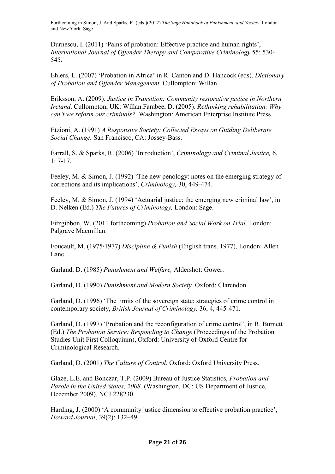Durnescu, I. (2011) 'Pains of probation: Effective practice and human rights', *International Journal of Offender Therapy and Comparative Criminology* 55: 530- 545.

Ehlers, L. (2007) 'Probation in Africa' in R. Canton and D. Hancock (eds), *Dictionary of Probation and Offender Management,* Cullompton: Willan.

Eriksson, A. (2009). *Justice in Transition: Community restorative justice in Northern Ireland*. Cullompton, UK: Willan.Farabee, D. (2005). *Rethinking rehabilitation: Why can't we reform our criminals?.* Washington: American Enterprise Institute Press.

Etzioni, A. (1991) *A Responsive Society: Collected Essays on Guiding Deliberate Social Change.* San Francisco, CA: Jossey-Bass.

Farrall, S. & Sparks, R. (2006) 'Introduction', *Criminology and Criminal Justice,* 6, 1: 7-17.

Feeley, M. & Simon, J. (1992) 'The new penology: notes on the emerging strategy of corrections and its implications', *Criminology,* 30, 449-474.

Feeley, M. & Simon, J. (1994) 'Actuarial justice: the emerging new criminal law', in D. Nelken (Ed.) *The Futures of Criminology,* London: Sage.

Fitzgibbon, W. (2011 forthcoming) *Probation and Social Work on Trial*. London: Palgrave Macmillan.

Foucault, M. (1975/1977) *Discipline & Punish* (English trans. 1977), London: Allen Lane.

Garland, D. (1985) *Punishment and Welfare,* Aldershot: Gower.

Garland, D. (1990) *Punishment and Modern Society.* Oxford: Clarendon.

Garland, D. (1996) 'The limits of the sovereign state: strategies of crime control in contemporary society, *British Journal of Criminology,* 36, 4, 445-471.

Garland, D. (1997) 'Probation and the reconfiguration of crime control', in R. Burnett (Ed.) *The Probation Service: Responding to Change* (Proceedings of the Probation Studies Unit First Colloquium), Oxford: University of Oxford Centre for Criminological Research.

Garland, D. (2001) *The Culture of Control.* Oxford: Oxford University Press.

Glaze, L.E. and Bonczar, T.P. (2009) Bureau of Justice Statistics, *Probation and Parole in the United States, 2008.* (Washington, DC: US Department of Justice, December 2009), NCJ 228230

Harding, J. (2000) 'A community justice dimension to effective probation practice', *Howard Journal*, 39(2): 132–49.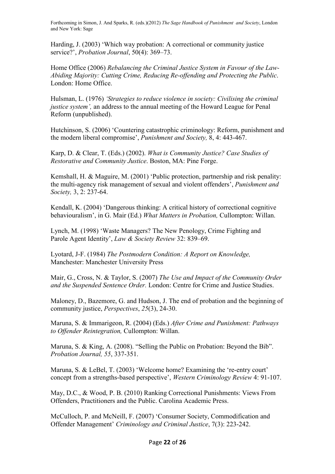Harding, J. (2003) 'Which way probation: A correctional or community justice service?', *Probation Journal*, 50(4): 369–73.

Home Office (2006) *Rebalancing the Criminal Justice System in Favour of the Law-Abiding Majority: Cutting Crime, Reducing Re-offending and Protecting the Public*. London: Home Office.

Hulsman, L. (1976) *'Strategies to reduce violence in society: Civilising the criminal justice system'*, an address to the annual meeting of the Howard League for Penal Reform (unpublished).

Hutchinson, S. (2006) 'Countering catastrophic criminology: Reform, punishment and the modern liberal compromise', *Punishment and Society,* 8, 4: 443-467.

Karp, D. & Clear, T. (Eds.) (2002). *What is Community Justice? Case Studies of Restorative and Community Justice*. Boston, MA: Pine Forge.

Kemshall, H. & Maguire, M. (2001) 'Public protection, partnership and risk penality: the multi-agency risk management of sexual and violent offenders', *Punishment and Society,* 3, 2: 237-64.

Kendall, K. (2004) 'Dangerous thinking: A critical history of correctional cognitive behaviouralism', in G. Mair (Ed.) *What Matters in Probation,* Cullompton: Willan.

Lynch, M. (1998) 'Waste Managers? The New Penology, Crime Fighting and Parole Agent Identity', *Law & Society Review* 32: 839–69.

Lyotard, J-F. (1984) *The Postmodern Condition: A Report on Knowledge,*  Manchester: Manchester University Press

Mair, G., Cross, N. & Taylor, S. (2007) *The Use and Impact of the Community Order and the Suspended Sentence Order.* London: Centre for Crime and Justice Studies.

Maloney, D., Bazemore, G. and Hudson, J. The end of probation and the beginning of community justice, *Perspectives*, *25*(3), 24-30.

Maruna, S. & Immarigeon, R. (2004) (Eds.) *After Crime and Punishment: Pathways to Offender Reintegration,* Cullompton: Willan.

Maruna, S. & King, A. (2008). "Selling the Public on Probation: Beyond the Bib". *Probation Journal, 55*, 337-351.

Maruna, S. & LeBel, T. (2003) 'Welcome home? Examining the 're-entry court' concept from a strengths-based perspective', *Western Criminology Review* 4: 91-107.

May, D.C., & Wood, P. B. (2010) Ranking Correctional Punishments: Views From Offenders, Practitioners and the Public. Carolina Academic Press.

McCulloch, P. and McNeill, F. (2007) 'Consumer Society, Commodification and Offender Management' *Criminology and Criminal Justice*, 7(3): 223-242.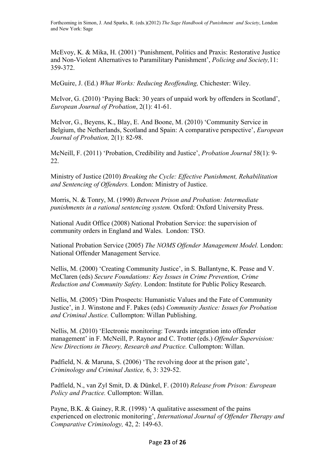McEvoy, K. & Mika, H. (2001) 'Punishment, Politics and Praxis: Restorative Justice and Non-Violent Alternatives to Paramilitary Punishment', *Policing and Society,*11: 359-372.

McGuire, J. (Ed.) *What Works: Reducing Reoffending,* Chichester: Wiley.

McIvor, G. (2010) 'Paying Back: 30 years of unpaid work by offenders in Scotland', *European Journal of Probation*, 2(1): 41-61.

McIvor, G., Beyens, K., Blay, E. And Boone, M. (2010) 'Community Service in Belgium, the Netherlands, Scotland and Spain: A comparative perspective', *European Journal of Probation,* 2(1): 82-98.

McNeill, F. (2011) 'Probation, Credibility and Justice', *Probation Journal* 58(1): 9- 22.

Ministry of Justice (2010) *Breaking the Cycle: Effective Punishment, Rehabilitation and Sentencing of Offenders.* London: Ministry of Justice.

Morris, N. & Tonry, M. (1990) *Between Prison and Probation: Intermediate punishments in a rational sentencing system.* Oxford: Oxford University Press.

National Audit Office (2008) National Probation Service: the supervision of community orders in England and Wales. London: TSO.

National Probation Service (2005) *The NOMS Offender Management Model.* London: National Offender Management Service.

Nellis, M. (2000) 'Creating Community Justice', in S. Ballantyne, K. Pease and V. McClaren (eds) *Secure Foundations: Key Issues in Crime Prevention, Crime Reduction and Community Safety.* London: Institute for Public Policy Research.

Nellis, M. (2005) 'Dim Prospects: Humanistic Values and the Fate of Community Justice', in J. Winstone and F. Pakes (eds) *Community Justice: Issues for Probation and Criminal Justice.* Cullompton: Willan Publishing.

Nellis, M. (2010) 'Electronic monitoring: Towards integration into offender management' in F. McNeill, P. Raynor and C. Trotter (eds.) *Offender Supervision: New Directions in Theory, Research and Practice.* Cullompton: Willan.

Padfield, N. & Maruna, S. (2006) 'The revolving door at the prison gate', *Criminology and Criminal Justice,* 6, 3: 329-52.

Padfield, N., van Zyl Smit, D. & Dünkel, F. (2010) *Release from Prison: European Policy and Practice.* Cullompton: Willan.

Payne, B.K. & Gainey, R.R. (1998) 'A qualitative assessment of the pains experienced on electronic monitoring', *International Journal of Offender Therapy and Comparative Criminology,* 42, 2: 149-63.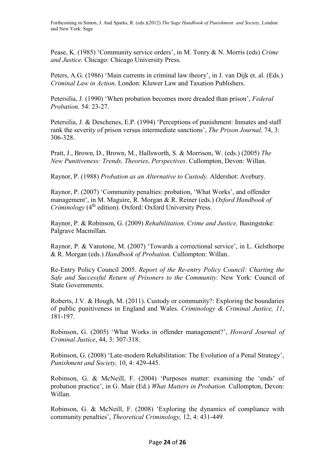Pease, K. (1985) 'Community service orders', in M. Tonry & N. Morris (eds) *Crime and Justice.* Chicago: Chicago University Press.

Peters, A.G. (1986) 'Main currents in criminal law theory', in J. van Dijk et. al. (Eds.) *Criminal Law in Action,* London: Kluwer Law and Taxation Publishers.

Petersilia, J. (1990) 'When probation becomes more dreaded than prison', *Federal Probation,* 54: 23-27.

Petersilia, J. & Deschenes, E.P. (1994) 'Perceptions of punishment: Inmates and staff rank the severity of prison versus intermediate sanctions', *The Prison Journal,* 74, 3: 306-328.

Pratt, J., Brown, D., Brown, M., Hallsworth, S. & Morrison, W. (eds.) (2005) *The New Punitiveness: Trends, Theories, Perspectives.* Cullompton, Devon: Willan.

Raynor, P. (1988) *Probation as an Alternative to Custody.* Aldershot: Avebury.

Raynor, P. (2007) 'Community penalties: probation, 'What Works', and offender management', in M. Maguire, R. Morgan & R. Reiner (eds.) *Oxford Handbook of Criminology* (4<sup>th</sup> edition). Oxford: Oxford University Press.

Raynor, P. & Robinson, G. (2009) *Rehabilitation, Crime and Justice,* Basingstoke: Palgrave Macmillan.

Raynor, P. & Vanstone, M. (2007) 'Towards a correctional service', in L. Gelsthorpe & R. Morgan (eds.) *Handbook of Probation.* Cullompton: Willan.

Re-Entry Policy Council 2005. *Report of the Re-entry Policy Council: Charting the Safe and Successful Return of Prisoners to the Community.* New York: Council of State Governments.

Roberts, J.V. & Hough, M. (2011). Custody or community?: Exploring the boundaries of public punitiveness in England and Wales. *Criminology & Criminal Justice, 11*, 181-197.

Robinson, G. (2005) 'What Works in offender management?', *Howard Journal of Criminal Justice*, 44, 3: 307-318.

Robinson, G. (2008) 'Late-modern Rehabilitation: The Evolution of a Penal Strategy', *Punishment and Society,* 10, 4: 429-445.

Robinson, G. & McNeill, F. (2004) 'Purposes matter: examining the 'ends' of probation practice', in G. Mair (Ed.) *What Matters in Probation.* Cullompton, Devon: Willan.

Robinson, G. & McNeill, F. (2008) 'Exploring the dynamics of compliance with community penalties', *Theoretical Criminology,* 12, 4: 431-449*.*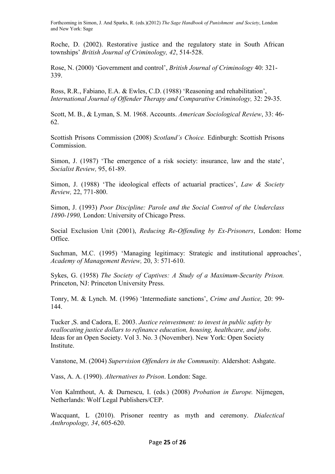Roche, D. (2002). Restorative justice and the regulatory state in South African townships' *British Journal of Criminology, 42*, 514-528.

Rose, N. (2000) 'Government and control', *British Journal of Criminology* 40: 321- 339.

Ross, R.R., Fabiano, E.A. & Ewles, C.D. (1988) 'Reasoning and rehabilitation', *International Journal of Offender Therapy and Comparative Criminology,* 32: 29-35.

Scott, M. B., & Lyman, S. M. 1968. Accounts. *American Sociological Review*, 33: 46- 62.

Scottish Prisons Commission (2008) *Scotland's Choice.* Edinburgh: Scottish Prisons Commission.

Simon, J. (1987) 'The emergence of a risk society: insurance, law and the state', *Socialist Review,* 95, 61-89.

Simon, J. (1988) 'The ideological effects of actuarial practices', *Law & Society Review,* 22, 771-800.

Simon, J. (1993) *Poor Discipline: Parole and the Social Control of the Underclass 1890-1990,* London: University of Chicago Press.

Social Exclusion Unit (2001), *Reducing Re-Offending by Ex-Prisoners*, London: Home Office.

Suchman, M.C. (1995) 'Managing legitimacy: Strategic and institutional approaches', *Academy of Management Review,* 20, 3: 571-610.

Sykes, G. (1958) *The Society of Captives: A Study of a Maximum-Security Prison.*  Princeton, NJ: Princeton University Press.

Tonry, M. & Lynch. M. (1996) 'Intermediate sanctions', *Crime and Justice,* 20: 99- 144.

Tucker ,S. and Cadora, E. 2003. *Justice reinvestment: to invest in public safety by reallocating justice dollars to refinance education, housing, healthcare, and jobs*. Ideas for an Open Society. Vol 3. No. 3 (November). New York: Open Society Institute.

Vanstone, M. (2004) *Supervision Offenders in the Community.* Aldershot: Ashgate.

Vass, A. A. (1990). *Alternatives to Prison*. London: Sage.

Von Kalmthout, A. & Durnescu, I. (eds.) (2008) *Probation in Europe.* Nijmegen, Netherlands: Wolf Legal Publishers/CEP.

Wacquant, L (2010). Prisoner reentry as myth and ceremony. *Dialectical Anthropology, 34*, 605-620.